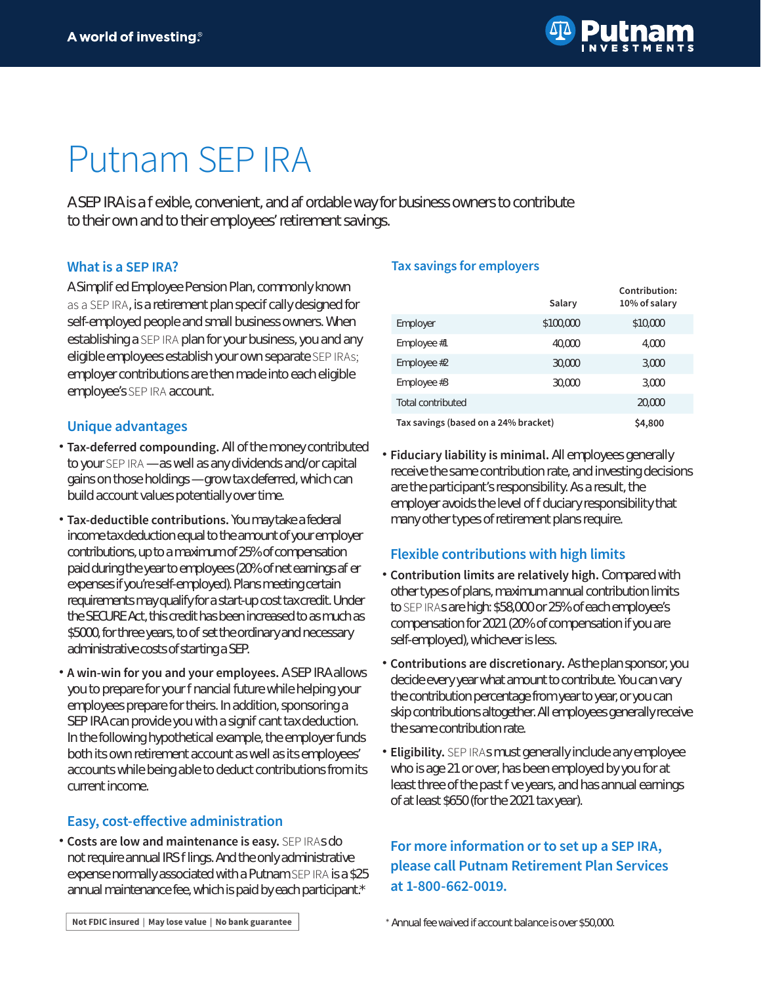# Putnam SEP IRA

A SEP IRA is a fexible, convenient, and af ordable way for business owners to contribute to their own and to their employees' retirement savings.

### **What is a SEP IRA?**

A Simplified Employee Pension Plan, commonly known as a SEP IRA, is a retirement plan specifically designed for self-employed people and small business owners. When establishing a SEP IRA plan for your business, you and any eligible employees establish your own separate SEP IRAs; employer contributions are then made into each eligible employee's SEP IRA account.

#### **Unique advantages**

- **Tax-deferred compounding.** All of the money contributed to your SEP IRA — as well as any dividends and/or capital gains on those holdings — grow tax deferred, which can build account values potentially over time.
- **Tax-deductible contributions .** You may take a federal income tax deduction equal to the amount of your employer contributions, up to a maximum of 25% of compensation paid during the year to employees (20% of net earnings af er expenses if you're self-employed). Plans meeting certain requirements may qualify for a start-up cost tax credit. Under the SECURE Act, this credit has been increased to as much as \$5000, for three years, to of set the ordinary and necessary administrative costs of starting a SEP.
- **A win-win for you and your employees.**  A SEP IRA allows you to prepare for your financial future while helping your employees prepare for theirs. In addition, sponsoring a SEP IRA can provide you with a significant tax deduction. In the following hypothetical example, the employer funds both its own retirement account as well as its employees' accounts while being able to deduct contributions from its current income.

#### **Easy, cost-effective administration**

**Costs are low and maintenance is easy.** SEP IRAs do not require annual IRS filings. And the only administrative expense normally associated with a Putnam SEP IRA is a \$25 annual maintenance fee, which is paid by each participant.\*

#### **Tax savings for employers**

|                                      | Salary    | Contribution:<br>$10\%$ of salary |
|--------------------------------------|-----------|-----------------------------------|
| Employer                             | \$100,000 | \$10,000                          |
| Employee #1                          | 40.CCCO   | 4.000                             |
| Employee $#2$                        | 30.000    | 3,000                             |
| Employee $#3$                        | 30.000    | 3,000                             |
| Total contributed                    |           | 20,000                            |
| Tax savings (based on a 24% bracket) |           | \$4,800                           |

**Fiduciary liability is minimal.** All employees generally receive the same contribution rate, and investing decisions are the participant's responsibility. As a result, the employer avoids the level of f duciary responsibility that many other types of retirement plans require.

## **Flexible contributions with high limits**

- **Contribution limits are relatively high.**  Compared with other types of plans, maximum annual contribution limits to SEP IRAs are high: \$58,000 or 25% of each employee's compensation for 2021 (20% of compensation if you are self-employed), whichever is less.
- **Contributions are discretionary.** As the plan sponsor, you decide every year what amount to contribute. You can vary the contribution percentage from year to year, or you can skip contributions altogether. All employees generally receive the same contribution rate.
- **Eligibility.**  SEP IRAs must generally include any employee who is age 21 or over, has been employed by you for at least three of the past five years, and has annual earnings of at least \$650 (for the 2021 tax year).

# **For more information or to set up a SEP IRA, please call Putnam Retirement Plan Services at 1-800-662-0019.**

Not FDIC insured | May lose value | No bank guarantee